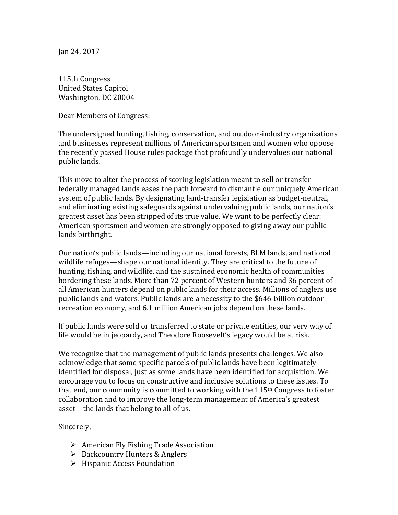Jan 24, 2017

115th Congress United States Capitol Washington, DC 20004

Dear Members of Congress:

The undersigned hunting, fishing, conservation, and outdoor-industry organizations and businesses represent millions of American sportsmen and women who oppose the recently passed House rules package that profoundly undervalues our national public lands.

This move to alter the process of scoring legislation meant to sell or transfer federally managed lands eases the path forward to dismantle our uniquely American system of public lands. By designating land-transfer legislation as budget-neutral, and eliminating existing safeguards against undervaluing public lands, our nation's greatest asset has been stripped of its true value. We want to be perfectly clear: American sportsmen and women are strongly opposed to giving away our public lands birthright.

Our nation's public lands—including our national forests, BLM lands, and national wildlife refuges—shape our national identity. They are critical to the future of hunting, fishing, and wildlife, and the sustained economic health of communities bordering these lands. More than 72 percent of Western hunters and 36 percent of all American hunters depend on public lands for their access. Millions of anglers use public lands and waters. Public lands are a necessity to the \$646-billion outdoorrecreation economy, and 6.1 million American jobs depend on these lands.

If public lands were sold or transferred to state or private entities, our very way of life would be in jeopardy, and Theodore Roosevelt's legacy would be at risk.

We recognize that the management of public lands presents challenges. We also acknowledge that some specific parcels of public lands have been legitimately identified for disposal, just as some lands have been identified for acquisition. We encourage you to focus on constructive and inclusive solutions to these issues. To that end, our community is committed to working with the 115<sup>th</sup> Congress to foster collaboration and to improve the long-term management of America's greatest asset—the lands that belong to all of us.

Sincerely,

- $\triangleright$  American Fly Fishing Trade Association
- $\triangleright$  Backcountry Hunters & Anglers
- $\triangleright$  Hispanic Access Foundation